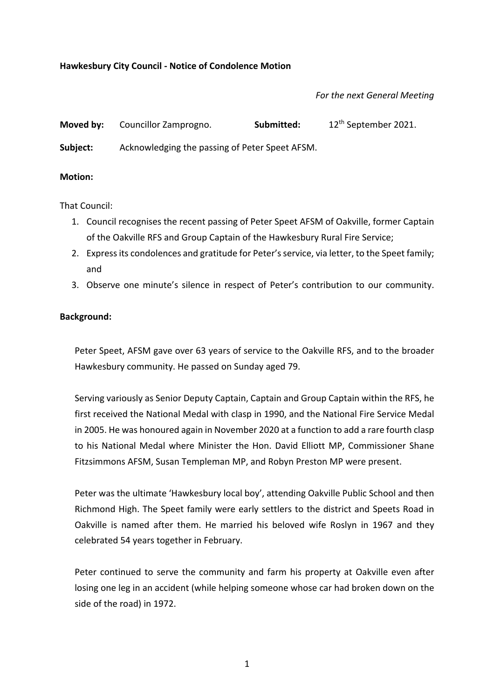## **Hawkesbury City Council - Notice of Condolence Motion**

## *For the next General Meeting*

| Moved by: | Councillor Zamprogno.                          | Submitted: | 12 <sup>th</sup> September 2021. |
|-----------|------------------------------------------------|------------|----------------------------------|
| Subject:  | Acknowledging the passing of Peter Speet AFSM. |            |                                  |

## **Motion:**

That Council:

- 1. Council recognises the recent passing of Peter Speet AFSM of Oakville, former Captain of the Oakville RFS and Group Captain of the Hawkesbury Rural Fire Service;
- 2. Express its condolences and gratitude for Peter's service, via letter, to the Speet family; and
- 3. Observe one minute's silence in respect of Peter's contribution to our community.

## **Background:**

Peter Speet, AFSM gave over 63 years of service to the Oakville RFS, and to the broader Hawkesbury community. He passed on Sunday aged 79.

Serving variously as Senior Deputy Captain, Captain and Group Captain within the RFS, he first received the National Medal with clasp in 1990, and the National Fire Service Medal in 2005. He was honoured again in November 2020 at a function to add a rare fourth clasp to his National Medal where Minister the Hon. David Elliott MP, Commissioner Shane Fitzsimmons AFSM, Susan Templeman MP, and Robyn Preston MP were present.

Peter was the ultimate 'Hawkesbury local boy', attending Oakville Public School and then Richmond High. The Speet family were early settlers to the district and Speets Road in Oakville is named after them. He married his beloved wife Roslyn in 1967 and they celebrated 54 years together in February.

Peter continued to serve the community and farm his property at Oakville even after losing one leg in an accident (while helping someone whose car had broken down on the side of the road) in 1972.